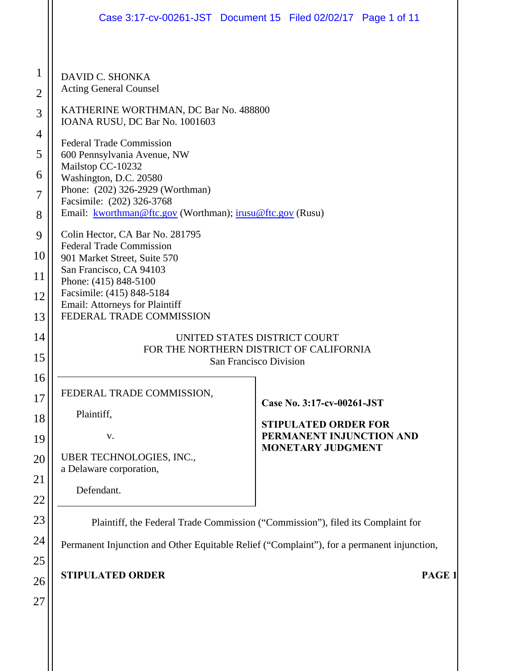|                                                                                            | Case 3:17-cv-00261-JST Document 15 Filed 02/02/17 Page 1 of 11                                                                                                                                                                                                                                                                                                                                                                                                                                                                                                    |
|--------------------------------------------------------------------------------------------|-------------------------------------------------------------------------------------------------------------------------------------------------------------------------------------------------------------------------------------------------------------------------------------------------------------------------------------------------------------------------------------------------------------------------------------------------------------------------------------------------------------------------------------------------------------------|
| $\mathbf{1}$<br>$\overline{2}$<br>3<br>$\overline{4}$<br>5<br>6<br>7<br>8<br>9<br>10<br>11 | DAVID C. SHONKA<br><b>Acting General Counsel</b><br>KATHERINE WORTHMAN, DC Bar No. 488800<br>IOANA RUSU, DC Bar No. 1001603<br><b>Federal Trade Commission</b><br>600 Pennsylvania Avenue, NW<br>Mailstop CC-10232<br>Washington, D.C. 20580<br>Phone: (202) 326-2929 (Worthman)<br>Facsimile: (202) 326-3768<br>Email: kworthman@ftc.gov (Worthman); irusu@ftc.gov (Rusu)<br>Colin Hector, CA Bar No. 281795<br><b>Federal Trade Commission</b><br>901 Market Street, Suite 570<br>San Francisco, CA 94103<br>Phone: (415) 848-5100<br>Facsimile: (415) 848-5184 |
| 12<br>13<br>14                                                                             | Email: Attorneys for Plaintiff<br>FEDERAL TRADE COMMISSION<br>UNITED STATES DISTRICT COURT                                                                                                                                                                                                                                                                                                                                                                                                                                                                        |
| 15                                                                                         | FOR THE NORTHERN DISTRICT OF CALIFORNIA<br>San Francisco Division                                                                                                                                                                                                                                                                                                                                                                                                                                                                                                 |
| 16<br>17<br>18<br>19<br>20<br>21<br>22                                                     | FEDERAL TRADE COMMISSION,<br>Case No. 3:17-cv-00261-JST<br>Plaintiff,<br><b>STIPULATED ORDER FOR</b><br>PERMANENT INJUNCTION AND<br>V.<br><b>MONETARY JUDGMENT</b><br>UBER TECHNOLOGIES, INC.,<br>a Delaware corporation,<br>Defendant.                                                                                                                                                                                                                                                                                                                           |
| 23                                                                                         | Plaintiff, the Federal Trade Commission ("Commission"), filed its Complaint for                                                                                                                                                                                                                                                                                                                                                                                                                                                                                   |
| 24<br>25                                                                                   | Permanent Injunction and Other Equitable Relief ("Complaint"), for a permanent injunction,                                                                                                                                                                                                                                                                                                                                                                                                                                                                        |
| 26<br>27                                                                                   | <b>STIPULATED ORDER</b><br>PAGE <sub>1</sub>                                                                                                                                                                                                                                                                                                                                                                                                                                                                                                                      |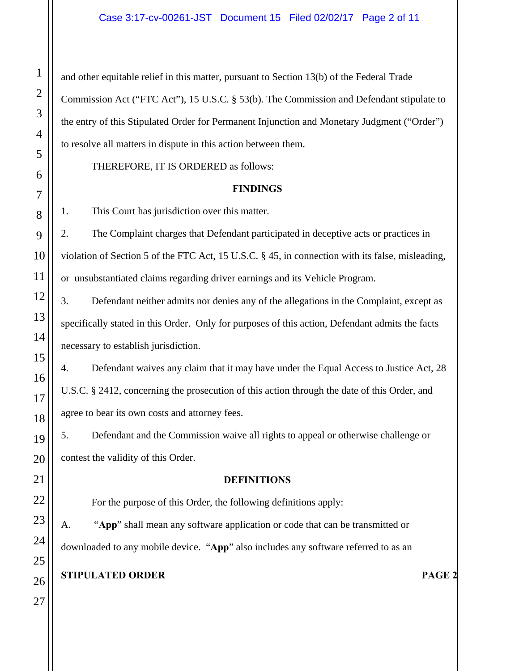and other equitable relief in this matter, pursuant to Section 13(b) of the Federal Trade Commission Act ("FTC Act"), 15 U.S.C. § 53(b). The Commission and Defendant stipulate to the entry of this Stipulated Order for Permanent Injunction and Monetary Judgment ("Order") to resolve all matters in dispute in this action between them.

THEREFORE, IT IS ORDERED as follows:

#### **FINDINGS**

1. This Court has jurisdiction over this matter.

2. The Complaint charges that Defendant participated in deceptive acts or practices in violation of Section 5 of the FTC Act, 15 U.S.C. § 45, in connection with its false, misleading, or unsubstantiated claims regarding driver earnings and its Vehicle Program.

3. Defendant neither admits nor denies any of the allegations in the Complaint, except as specifically stated in this Order. Only for purposes of this action, Defendant admits the facts necessary to establish jurisdiction.

4. Defendant waives any claim that it may have under the Equal Access to Justice Act, 28 U.S.C. § 2412, concerning the prosecution of this action through the date of this Order, and agree to bear its own costs and attorney fees.

5. Defendant and the Commission waive all rights to appeal or otherwise challenge or contest the validity of this Order.

#### **DEFINITIONS**

For the purpose of this Order, the following definitions apply:

 A. "**App**" shall mean any software application or code that can be transmitted or downloaded to any mobile device. "**App**" also includes any software referred to as an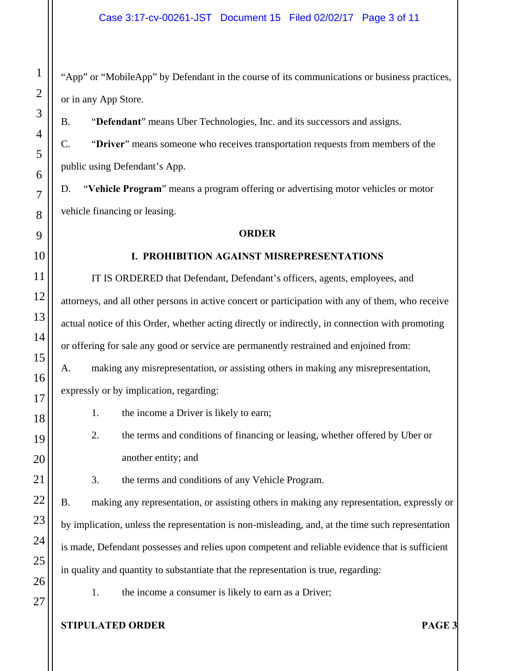"App" or "MobileApp" by Defendant in the course of its communications or business practices, or in any App Store.

B. "**Defendant**" means Uber Technologies, Inc. and its successors and assigns.

C. "**Driver**" means someone who receives transportation requests from members of the public using Defendant's App.

D. "**Vehicle Program**" means a program offering or advertising motor vehicles or motor vehicle financing or leasing.

#### **ORDER**

### **I. PROHIBITION AGAINST MISREPRESENTATIONS**

IT IS ORDERED that Defendant, Defendant's officers, agents, employees, and attorneys, and all other persons in active concert or participation with any of them, who receive actual notice of this Order, whether acting directly or indirectly, in connection with promoting or offering for sale any good or service are permanently restrained and enjoined from:

A. making any misrepresentation, or assisting others in making any misrepresentation, expressly or by implication, regarding:

- 1. the income a Driver is likely to earn;
- 2. the terms and conditions of financing or leasing, whether offered by Uber or another entity; and
- 3. the terms and conditions of any Vehicle Program.

B. making any representation, or assisting others in making any representation, expressly or by implication, unless the representation is non-misleading, and, at the time such representation is made, Defendant possesses and relies upon competent and reliable evidence that is sufficient in quality and quantity to substantiate that the representation is true, regarding:

1. the income a consumer is likely to earn as a Driver;

## **STIPULATED ORDER PAGE 3**

1

2

3

4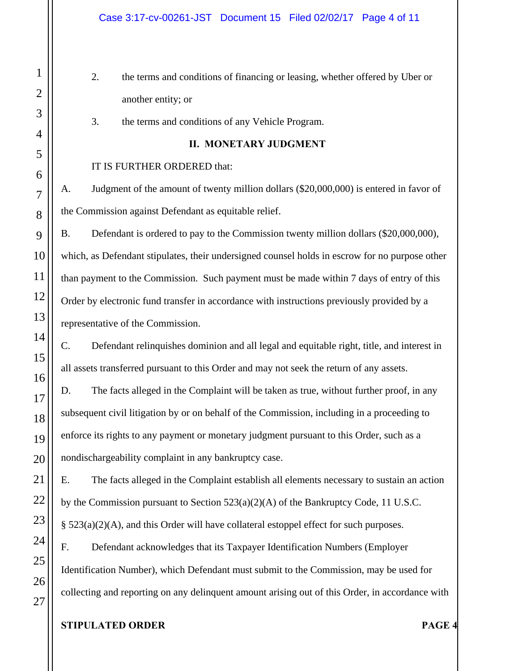- 2. the terms and conditions of financing or leasing, whether offered by Uber or another entity; or
- 3. the terms and conditions of any Vehicle Program.

### **II. MONETARY JUDGMENT**

### IT IS FURTHER ORDERED that:

A. Judgment of the amount of twenty million dollars (\$20,000,000) is entered in favor of the Commission against Defendant as equitable relief.

B. Defendant is ordered to pay to the Commission twenty million dollars (\$20,000,000), which, as Defendant stipulates, their undersigned counsel holds in escrow for no purpose other than payment to the Commission. Such payment must be made within 7 days of entry of this Order by electronic fund transfer in accordance with instructions previously provided by a representative of the Commission.

C. Defendant relinquishes dominion and all legal and equitable right, title, and interest in all assets transferred pursuant to this Order and may not seek the return of any assets.

D. The facts alleged in the Complaint will be taken as true, without further proof, in any subsequent civil litigation by or on behalf of the Commission, including in a proceeding to enforce its rights to any payment or monetary judgment pursuant to this Order, such as a nondischargeability complaint in any bankruptcy case.

E. The facts alleged in the Complaint establish all elements necessary to sustain an action by the Commission pursuant to Section 523(a)(2)(A) of the Bankruptcy Code, 11 U.S.C. § 523(a)(2)(A), and this Order will have collateral estoppel effect for such purposes.

F. Defendant acknowledges that its Taxpayer Identification Numbers (Employer Identification Number), which Defendant must submit to the Commission, may be used for collecting and reporting on any delinquent amount arising out of this Order, in accordance with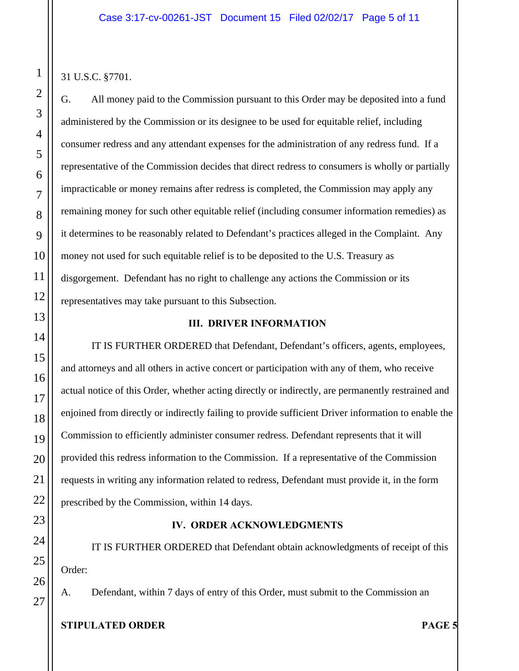31 U.S.C. §7701.

G. All money paid to the Commission pursuant to this Order may be deposited into a fund administered by the Commission or its designee to be used for equitable relief, including consumer redress and any attendant expenses for the administration of any redress fund. If a representative of the Commission decides that direct redress to consumers is wholly or partially impracticable or money remains after redress is completed, the Commission may apply any remaining money for such other equitable relief (including consumer information remedies) as it determines to be reasonably related to Defendant's practices alleged in the Complaint. Any money not used for such equitable relief is to be deposited to the U.S. Treasury as disgorgement. Defendant has no right to challenge any actions the Commission or its representatives may take pursuant to this Subsection.

### **III. DRIVER INFORMATION**

IT IS FURTHER ORDERED that Defendant, Defendant's officers, agents, employees, and attorneys and all others in active concert or participation with any of them, who receive actual notice of this Order, whether acting directly or indirectly, are permanently restrained and enjoined from directly or indirectly failing to provide sufficient Driver information to enable the Commission to efficiently administer consumer redress. Defendant represents that it will provided this redress information to the Commission. If a representative of the Commission requests in writing any information related to redress, Defendant must provide it, in the form prescribed by the Commission, within 14 days.

## **IV. ORDER ACKNOWLEDGMENTS**

IT IS FURTHER ORDERED that Defendant obtain acknowledgments of receipt of this Order:

A. Defendant, within 7 days of entry of this Order, must submit to the Commission an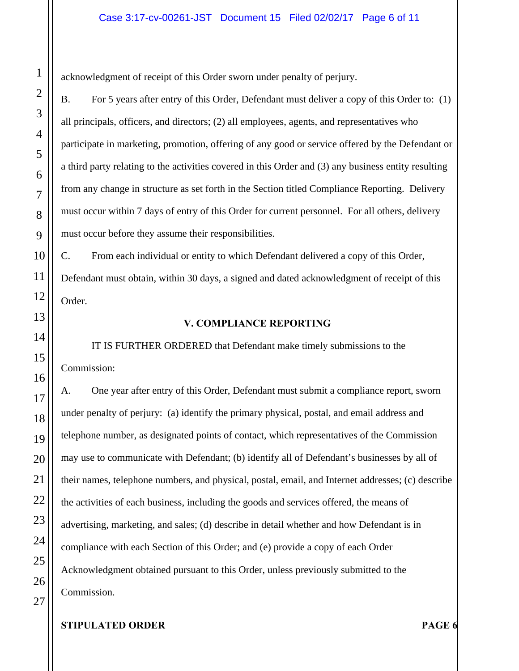acknowledgment of receipt of this Order sworn under penalty of perjury.

B. For 5 years after entry of this Order, Defendant must deliver a copy of this Order to: (1) all principals, officers, and directors; (2) all employees, agents, and representatives who participate in marketing, promotion, offering of any good or service offered by the Defendant or a third party relating to the activities covered in this Order and (3) any business entity resulting from any change in structure as set forth in the Section titled Compliance Reporting. Delivery must occur within 7 days of entry of this Order for current personnel. For all others, delivery must occur before they assume their responsibilities.

C. From each individual or entity to which Defendant delivered a copy of this Order, Defendant must obtain, within 30 days, a signed and dated acknowledgment of receipt of this Order.

### **V. COMPLIANCE REPORTING**

IT IS FURTHER ORDERED that Defendant make timely submissions to the Commission:

A. One year after entry of this Order, Defendant must submit a compliance report, sworn under penalty of perjury: (a) identify the primary physical, postal, and email address and telephone number, as designated points of contact, which representatives of the Commission may use to communicate with Defendant; (b) identify all of Defendant's businesses by all of their names, telephone numbers, and physical, postal, email, and Internet addresses; (c) describe the activities of each business, including the goods and services offered, the means of advertising, marketing, and sales; (d) describe in detail whether and how Defendant is in compliance with each Section of this Order; and (e) provide a copy of each Order Acknowledgment obtained pursuant to this Order, unless previously submitted to the Commission.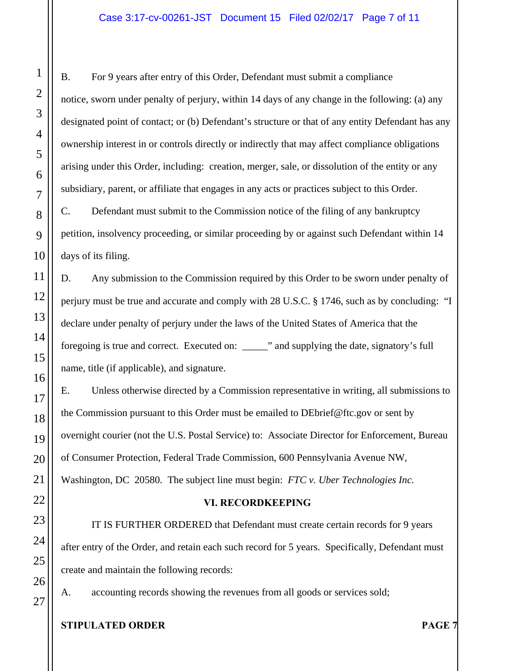B. For 9 years after entry of this Order, Defendant must submit a compliance notice, sworn under penalty of perjury, within 14 days of any change in the following: (a) any designated point of contact; or (b) Defendant's structure or that of any entity Defendant has any ownership interest in or controls directly or indirectly that may affect compliance obligations arising under this Order, including: creation, merger, sale, or dissolution of the entity or any subsidiary, parent, or affiliate that engages in any acts or practices subject to this Order.

C. Defendant must submit to the Commission notice of the filing of any bankruptcy petition, insolvency proceeding, or similar proceeding by or against such Defendant within 14 days of its filing.

D. Any submission to the Commission required by this Order to be sworn under penalty of perjury must be true and accurate and comply with 28 U.S.C. § 1746, such as by concluding: "I declare under penalty of perjury under the laws of the United States of America that the foregoing is true and correct. Executed on: \_\_\_\_\_" and supplying the date, signatory's full name, title (if applicable), and signature.

E. Unless otherwise directed by a Commission representative in writing, all submissions to the Commission pursuant to this Order must be emailed to DEbrief@ftc.gov or sent by overnight courier (not the U.S. Postal Service) to: Associate Director for Enforcement, Bureau of Consumer Protection, Federal Trade Commission, 600 Pennsylvania Avenue NW, Washington, DC 20580. The subject line must begin: *FTC v. Uber Technologies Inc.* 

## **VI. RECORDKEEPING**

IT IS FURTHER ORDERED that Defendant must create certain records for 9 years after entry of the Order, and retain each such record for 5 years. Specifically, Defendant must create and maintain the following records:

A. accounting records showing the revenues from all goods or services sold;

### **STIPULATED ORDER PAGE 7**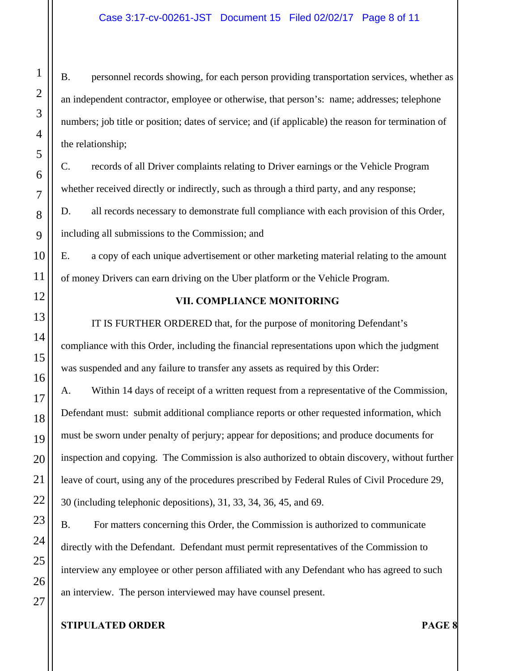B. personnel records showing, for each person providing transportation services, whether as an independent contractor, employee or otherwise, that person's: name; addresses; telephone numbers; job title or position; dates of service; and (if applicable) the reason for termination of the relationship;

C. records of all Driver complaints relating to Driver earnings or the Vehicle Program whether received directly or indirectly, such as through a third party, and any response;

D. all records necessary to demonstrate full compliance with each provision of this Order, including all submissions to the Commission; and

E. a copy of each unique advertisement or other marketing material relating to the amount of money Drivers can earn driving on the Uber platform or the Vehicle Program.

## **VII. COMPLIANCE MONITORING**

IT IS FURTHER ORDERED that, for the purpose of monitoring Defendant's compliance with this Order, including the financial representations upon which the judgment was suspended and any failure to transfer any assets as required by this Order:

A. Within 14 days of receipt of a written request from a representative of the Commission, Defendant must: submit additional compliance reports or other requested information, which must be sworn under penalty of perjury; appear for depositions; and produce documents for inspection and copying. The Commission is also authorized to obtain discovery, without further leave of court, using any of the procedures prescribed by Federal Rules of Civil Procedure 29, 30 (including telephonic depositions), 31, 33, 34, 36, 45, and 69.

B. For matters concerning this Order, the Commission is authorized to communicate directly with the Defendant. Defendant must permit representatives of the Commission to interview any employee or other person affiliated with any Defendant who has agreed to such an interview. The person interviewed may have counsel present.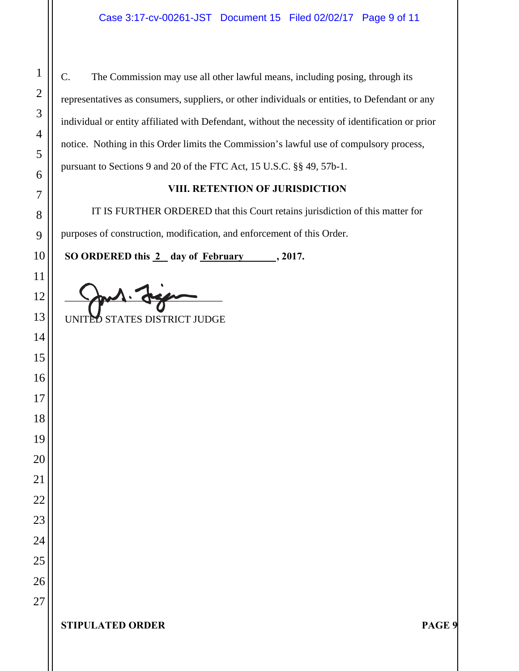C. The Commission may use all other lawful means, including posing, through its representatives as consumers, suppliers, or other individuals or entities, to Defendant or any individual or entity affiliated with Defendant, without the necessity of identification or prior notice. Nothing in this Order limits the Commission's lawful use of compulsory process, pursuant to Sections 9 and 20 of the FTC Act, 15 U.S.C. §§ 49, 57b-1.

## **VIII. RETENTION OF JURISDICTION**

IT IS FURTHER ORDERED that this Court retains jurisdiction of this matter for purposes of construction, modification, and enforcement of this Order.

 **SO ORDERED this 2 day of February , 2017.** 

 $\frac{1}{2}$ UNITED STATES DISTRICT JUDGE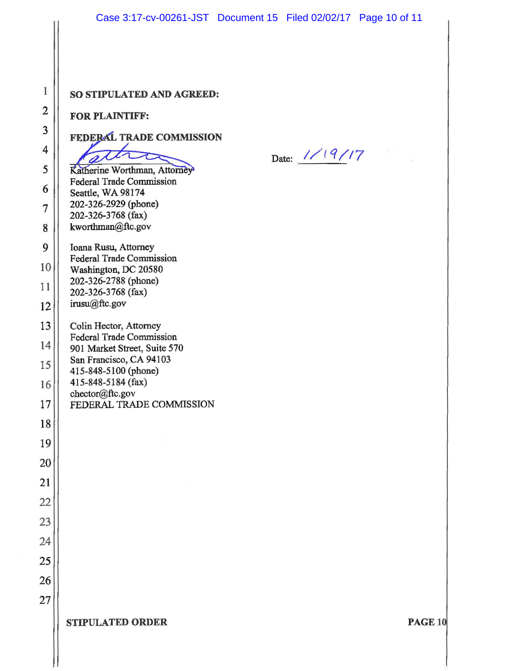| 1               |
|-----------------|
| $\overline{2}$  |
| 3               |
| 4               |
| 5               |
|                 |
| 6<br>j          |
| $\overline{7}$  |
| $8\phantom{.0}$ |
| 9               |
| 10              |
| 11              |
| 12              |
| 13              |
| 14              |
| 15              |
| 16              |
| $17\,$          |
| 18              |
| 19              |
| 20              |
| 21              |
| 22              |
| 23              |
| 24              |
| 25              |
| 26              |
| 27              |

### SO STIPULATED AND AGREED:

#### **FOR PLAINTIFF:**

FEDERAL TRADE COMMISSION

 $\overline{\mathcal{C}}$ 

Date: 1/19/17

Katherine Worthman, Attorney **Federal Trade Commission** Seattle, WA 98174 202-326-2929 (phone) 202-326-3768 (fax) kworthman@ftc.gov

Ioana Rusu, Attorney **Federal Trade Commission** Washington, DC 20580 202-326-2788 (phone) 202-326-3768 (fax) irusu@ftc.gov

Colin Hector, Attorney **Federal Trade Commission** 901 Market Street, Suite 570 San Francisco, CA 94103 415-848-5100 (phone) 415-848-5184 (fax) chector@ftc.gov

FEDERAL TRADE COMMISSION

**STIPULATED ORDER** 

PAGE 10